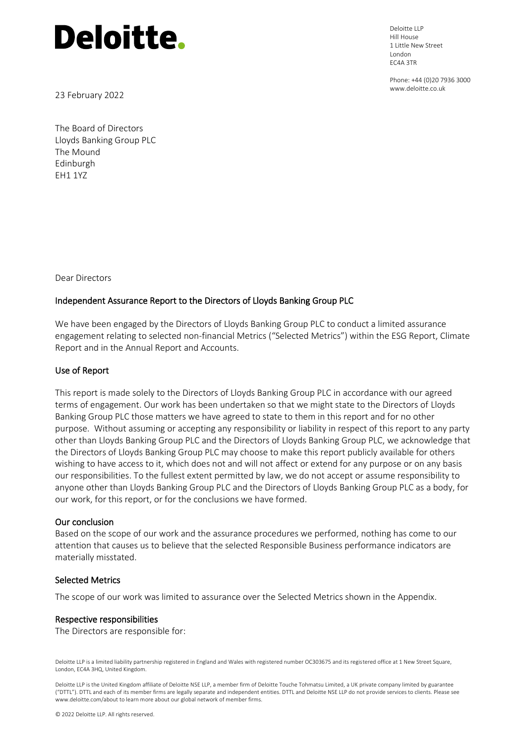Deloitte LLP Hill House 1 Little New Street London EC4A 3TR

Phone: +44 (0)20 7936 3000 www.deloitte.co.uk

23 February 2022

The Board of Directors Lloyds Banking Group PLC The Mound Edinburgh EH1 1YZ

Dear Directors

### Independent Assurance Report to the Directors of Lloyds Banking Group PLC

We have been engaged by the Directors of Lloyds Banking Group PLC to conduct a limited assurance engagement relating to selected non-financial Metrics ("Selected Metrics") within the ESG Report, Climate Report and in the Annual Report and Accounts.

### Use of Report

This report is made solely to the Directors of Lloyds Banking Group PLC in accordance with our agreed terms of engagement. Our work has been undertaken so that we might state to the Directors of Lloyds Banking Group PLC those matters we have agreed to state to them in this report and for no other purpose. Without assuming or accepting any responsibility or liability in respect of this report to any party other than Lloyds Banking Group PLC and the Directors of Lloyds Banking Group PLC, we acknowledge that the Directors of Lloyds Banking Group PLC may choose to make this report publicly available for others wishing to have access to it, which does not and will not affect or extend for any purpose or on any basis our responsibilities. To the fullest extent permitted by law, we do not accept or assume responsibility to anyone other than Lloyds Banking Group PLC and the Directors of Lloyds Banking Group PLC as a body, for our work, for this report, or for the conclusions we have formed.

### Our conclusion

Based on the scope of our work and the assurance procedures we performed, nothing has come to our attention that causes us to believe that the selected Responsible Business performance indicators are materially misstated.

### Selected Metrics

The scope of our work was limited to assurance over the Selected Metrics shown in the Appendix.

#### Respective responsibilities

The Directors are responsible for:

Deloitte LLP is a limited liability partnership registered in England and Wales with registered number OC303675 and its registered office at 1 New Street Square, London, EC4A 3HQ, United Kingdom.

Deloitte LLP is the United Kingdom affiliate of Deloitte NSE LLP, a member firm of Deloitte Touche Tohmatsu Limited, a UK private company limited by guarantee ("DTTL"). DTTL and each of its member firms are legally separate and independent entities. DTTL and Deloitte NSE LLP do not provide services to clients. Please see www.deloitte.com/about to learn more about our global network of member firms.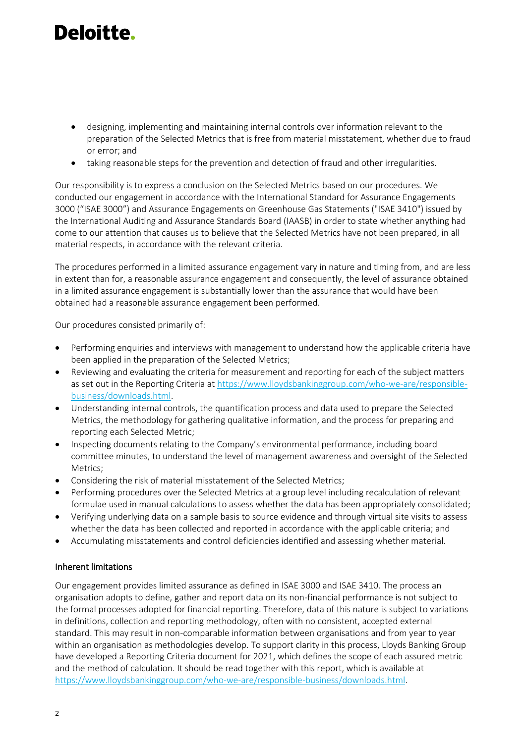- designing, implementing and maintaining internal controls over information relevant to the preparation of the Selected Metrics that is free from material misstatement, whether due to fraud or error; and
- taking reasonable steps for the prevention and detection of fraud and other irregularities.

Our responsibility is to express a conclusion on the Selected Metrics based on our procedures. We conducted our engagement in accordance with the International Standard for Assurance Engagements 3000 ("ISAE 3000") and Assurance Engagements on Greenhouse Gas Statements ("ISAE 3410") issued by the International Auditing and Assurance Standards Board (IAASB) in order to state whether anything had come to our attention that causes us to believe that the Selected Metrics have not been prepared, in all material respects, in accordance with the relevant criteria.

The procedures performed in a limited assurance engagement vary in nature and timing from, and are less in extent than for, a reasonable assurance engagement and consequently, the level of assurance obtained in a limited assurance engagement is substantially lower than the assurance that would have been obtained had a reasonable assurance engagement been performed.

Our procedures consisted primarily of:

- Performing enquiries and interviews with management to understand how the applicable criteria have been applied in the preparation of the Selected Metrics;
- Reviewing and evaluating the criteria for measurement and reporting for each of the subject matters as set out in the Reporting Criteria at [https://www.lloydsbankinggroup.com/who-we-are/responsible](https://www.lloydsbankinggroup.com/who-we-are/responsible-business/downloads.html)[business/downloads.html.](https://www.lloydsbankinggroup.com/who-we-are/responsible-business/downloads.html)
- Understanding internal controls, the quantification process and data used to prepare the Selected Metrics, the methodology for gathering qualitative information, and the process for preparing and reporting each Selected Metric;
- Inspecting documents relating to the Company's environmental performance, including board committee minutes, to understand the level of management awareness and oversight of the Selected Metrics;
- Considering the risk of material misstatement of the Selected Metrics;
- Performing procedures over the Selected Metrics at a group level including recalculation of relevant formulae used in manual calculations to assess whether the data has been appropriately consolidated;
- Verifying underlying data on a sample basis to source evidence and through virtual site visits to assess whether the data has been collected and reported in accordance with the applicable criteria; and
- Accumulating misstatements and control deficiencies identified and assessing whether material.

### Inherent limitations

Our engagement provides limited assurance as defined in ISAE 3000 and ISAE 3410. The process an organisation adopts to define, gather and report data on its non-financial performance is not subject to the formal processes adopted for financial reporting. Therefore, data of this nature is subject to variations in definitions, collection and reporting methodology, often with no consistent, accepted external standard. This may result in non-comparable information between organisations and from year to year within an organisation as methodologies develop. To support clarity in this process, Lloyds Banking Group have developed a Reporting Criteria document for 2021, which defines the scope of each assured metric and the method of calculation. It should be read together with this report, which is available at [https://www.lloydsbankinggroup.com/who-we-are/responsible-business/downloads.html.](https://www.lloydsbankinggroup.com/who-we-are/responsible-business/downloads.html)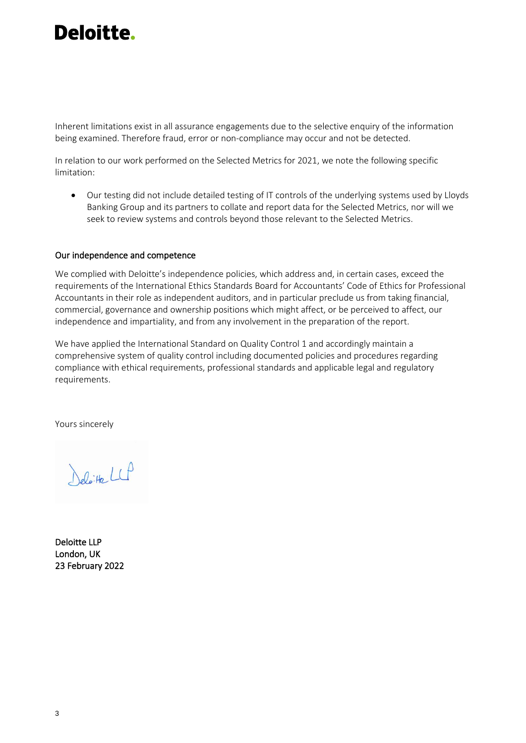Inherent limitations exist in all assurance engagements due to the selective enquiry of the information being examined. Therefore fraud, error or non-compliance may occur and not be detected.

In relation to our work performed on the Selected Metrics for 2021, we note the following specific limitation:

• Our testing did not include detailed testing of IT controls of the underlying systems used by Lloyds Banking Group and its partners to collate and report data for the Selected Metrics, nor will we seek to review systems and controls beyond those relevant to the Selected Metrics.

### Our independence and competence

We complied with Deloitte's independence policies, which address and, in certain cases, exceed the requirements of the International Ethics Standards Board for Accountants' Code of Ethics for Professional Accountants in their role as independent auditors, and in particular preclude us from taking financial, commercial, governance and ownership positions which might affect, or be perceived to affect, our independence and impartiality, and from any involvement in the preparation of the report.

We have applied the International Standard on Quality Control 1 and accordingly maintain a comprehensive system of quality control including documented policies and procedures regarding compliance with ethical requirements, professional standards and applicable legal and regulatory requirements.

Yours sincerely

Deloite LLP

Deloitte LLP London, UK 23 February 2022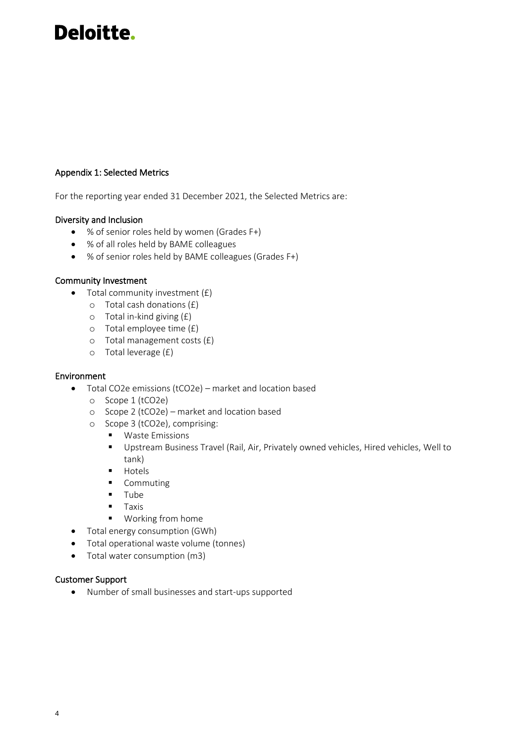### Appendix 1: Selected Metrics

For the reporting year ended 31 December 2021, the Selected Metrics are:

### Diversity and Inclusion

- % of senior roles held by women (Grades F+)
- % of all roles held by BAME colleagues
- % of senior roles held by BAME colleagues (Grades F+)

### Community Investment

- Total community investment  $(E)$ 
	- o Total cash donations (£)
	- o Total in-kind giving (£)
	- o Total employee time (£)
	- o Total management costs (£)
	- o Total leverage (£)

### Environment

- Total CO2e emissions (tCO2e) market and location based
	- o Scope 1 (tCO2e)
	- o Scope 2 (tCO2e) market and location based
	- o Scope 3 (tCO2e), comprising:
		- Waste Emissions
		- Upstream Business Travel (Rail, Air, Privately owned vehicles, Hired vehicles, Well to tank)
		- Hotels
		- Commuting
		- Tube
		- Taxis
		- Working from home
- Total energy consumption (GWh)
- Total operational waste volume (tonnes)
- Total water consumption (m3)

### Customer Support

• Number of small businesses and start-ups supported